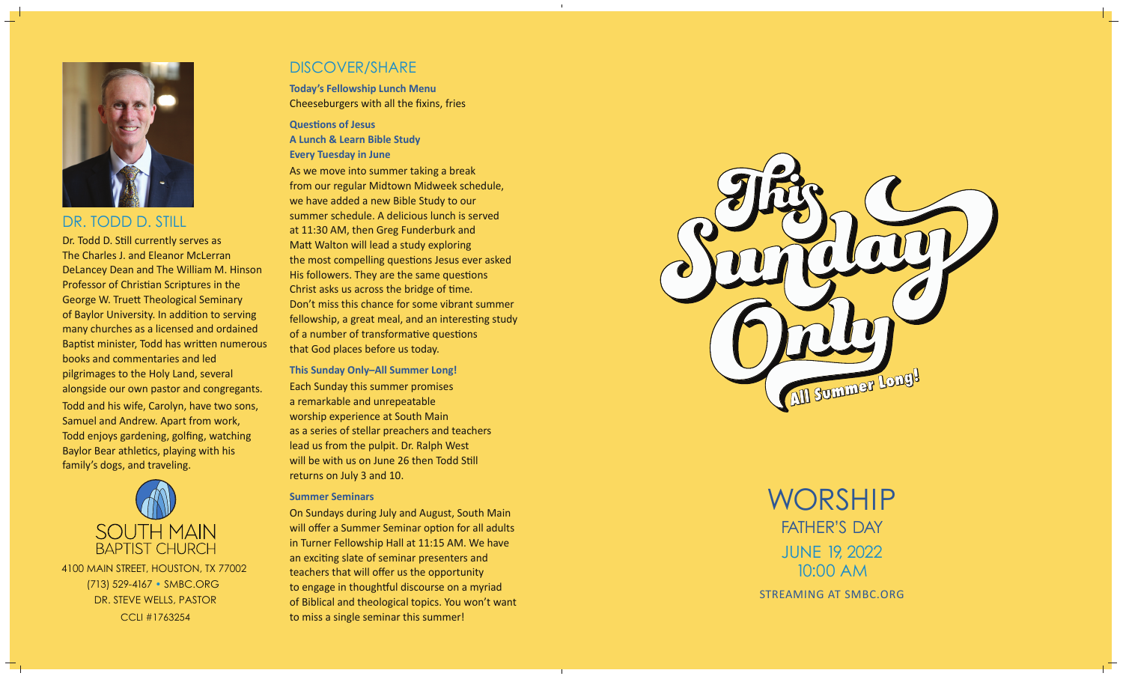

# DR. TODD D. STILL

Dr. Todd D. Still currently serves as The Charles J. and Eleanor McLerran DeLancey Dean and The William M. Hinson Professor of Christian Scriptures in the George W. Truett Theological Seminary of Baylor University. In addition to serving many churches as a licensed and ordained Baptist minister, Todd has written numerous books and commentaries and led pilgrimages to the Holy Land, several alongside our own pastor and congregants. Todd and his wife, Carolyn, have two sons, Samuel and Andrew. Apart from work, Todd enjoys gardening, golfing, watching Baylor Bear athletics, playing with his family's dogs, and traveling.



CCLI #17632544100 MAIN STREET, HOUSTON, TX 77002 (713) 529-4167 • SMBC.ORG DR. STEVE WELLS, PASTOR

# DISCOVER/SHARE

**Today's Fellowship Lunch Menu** Cheeseburgers with all the fixins, fries

### **QuesƟons of Jesus A Lunch & Learn Bible Study Every Tuesday in June**

As we move into summer taking a break from our regular Midtown Midweek schedule, we have added a new Bible Study to our summer schedule. A delicious lunch is served at 11:30 AM, then Greg Funderburk and Matt Walton will lead a study exploring the most compelling questions Jesus ever asked His followers. They are the same questions Christ asks us across the bridge of time. Don't miss this chance for some vibrant summer fellowship, a great meal, and an interesting study of a number of transformative questions that God places before us today.

**This Sunday Only–All Summer Long!**  Each Sunday this summer promises a remarkable and unrepeatable worship experience at South Main as a series of stellar preachers and teachers lead us from the pulpit. Dr. Ralph West will be with us on June 26 then Todd Still returns on July 3 and 10.

### **Summer Seminars**

On Sundays during July and August, South Main will offer a Summer Seminar option for all adults in Turner Fellowship Hall at 11:15 AM. We have an exciting slate of seminar presenters and teachers that will offer us the opportunity to engage in thoughtful discourse on a myriad of Biblical and theological topics. You won't want to miss a single seminar this summer!



JUNE 19, 2022 10:00 AMSTREAMING AT SMBC.ORGWORSHIPFATHER'S DAY